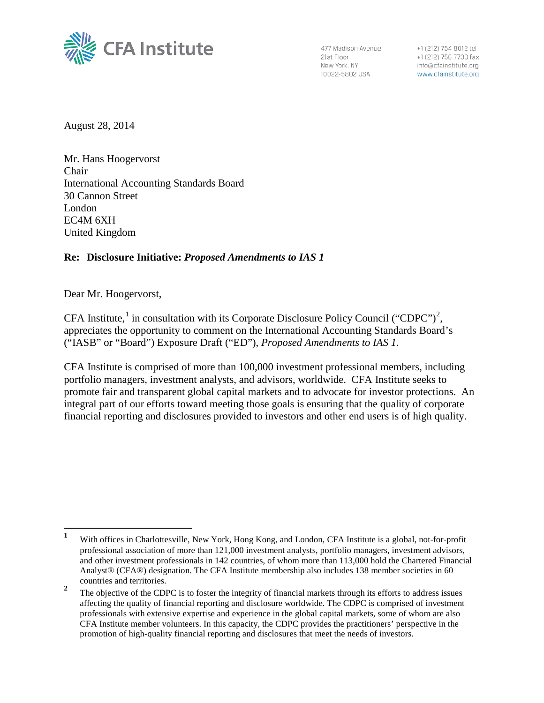

477 Madison Avenue 21st Floor New York, NY 10022-5802 USA

+1 (212) 754 8012 tel +1 (212) 756 7730 fax info@cfainstitute.org www.cfainstitute.org

August 28, 2014

Mr. Hans Hoogervorst Chair International Accounting Standards Board 30 Cannon Street London EC4M 6XH United Kingdom

### **Re: Disclosure Initiative:** *Proposed Amendments to IAS 1*

Dear Mr. Hoogervorst,

CFA Institute,<sup>[1](#page-0-0)</sup> in consultation with its Corporate Disclosure Policy Council ("CDPC")<sup>[2](#page-0-1)</sup>, appreciates the opportunity to comment on the International Accounting Standards Board's ("IASB" or "Board") Exposure Draft ("ED"), *Proposed Amendments to IAS 1*.

CFA Institute is comprised of more than 100,000 investment professional members, including portfolio managers, investment analysts, and advisors, worldwide. CFA Institute seeks to promote fair and transparent global capital markets and to advocate for investor protections. An integral part of our efforts toward meeting those goals is ensuring that the quality of corporate financial reporting and disclosures provided to investors and other end users is of high quality.

<span id="page-0-0"></span>**<sup>1</sup>** With offices in Charlottesville, New York, Hong Kong, and London, CFA Institute is a global, not-for-profit professional association of more than 121,000 investment analysts, portfolio managers, investment advisors, and other investment professionals in 142 countries, of whom more than 113,000 hold the Chartered Financial Analyst® (CFA®) designation. The CFA Institute membership also includes 138 member societies in 60 countries and territories.

<span id="page-0-1"></span><sup>&</sup>lt;sup>2</sup> The objective of the CDPC is to foster the integrity of financial markets through its efforts to address issues affecting the quality of financial reporting and disclosure worldwide. The CDPC is comprised of investment professionals with extensive expertise and experience in the global capital markets, some of whom are also CFA Institute member volunteers. In this capacity, the CDPC provides the practitioners' perspective in the promotion of high-quality financial reporting and disclosures that meet the needs of investors.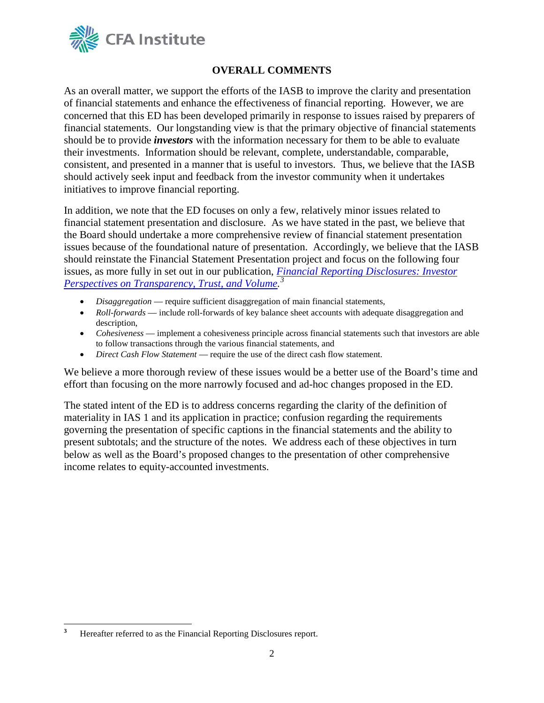

## **OVERALL COMMENTS**

As an overall matter, we support the efforts of the IASB to improve the clarity and presentation of financial statements and enhance the effectiveness of financial reporting. However, we are concerned that this ED has been developed primarily in response to issues raised by preparers of financial statements. Our longstanding view is that the primary objective of financial statements should be to provide *investors* with the information necessary for them to be able to evaluate their investments. Information should be relevant, complete, understandable, comparable, consistent, and presented in a manner that is useful to investors. Thus, we believe that the IASB should actively seek input and feedback from the investor community when it undertakes initiatives to improve financial reporting.

In addition, we note that the ED focuses on only a few, relatively minor issues related to financial statement presentation and disclosure. As we have stated in the past, we believe that the Board should undertake a more comprehensive review of financial statement presentation issues because of the foundational nature of presentation. Accordingly, we believe that the IASB should reinstate the Financial Statement Presentation project and focus on the following four issues, as more fully in set out in our publication, *[Financial Reporting Disclosures: Investor](http://www.cfainstitute.org/learning/products/publications/ccb/Pages/ccb.v2013.n12.1.aspx)  [Perspectives on Transparency, Trust, and Volume.](http://www.cfainstitute.org/learning/products/publications/ccb/Pages/ccb.v2013.n12.1.aspx) [3](#page-1-0)*

- *Disaggregation*  require sufficient disaggregation of main financial statements,
- *Roll-forwards* include roll-forwards of key balance sheet accounts with adequate disaggregation and description,
- *Cohesiveness* implement a cohesiveness principle across financial statements such that investors are able to follow transactions through the various financial statements, and
- *Direct Cash Flow Statement*  require the use of the direct cash flow statement.

We believe a more thorough review of these issues would be a better use of the Board's time and effort than focusing on the more narrowly focused and ad-hoc changes proposed in the ED.

The stated intent of the ED is to address concerns regarding the clarity of the definition of materiality in IAS 1 and its application in practice; confusion regarding the requirements governing the presentation of specific captions in the financial statements and the ability to present subtotals; and the structure of the notes. We address each of these objectives in turn below as well as the Board's proposed changes to the presentation of other comprehensive income relates to equity-accounted investments.

<span id="page-1-0"></span>**<sup>3</sup>** Hereafter referred to as the Financial Reporting Disclosures report.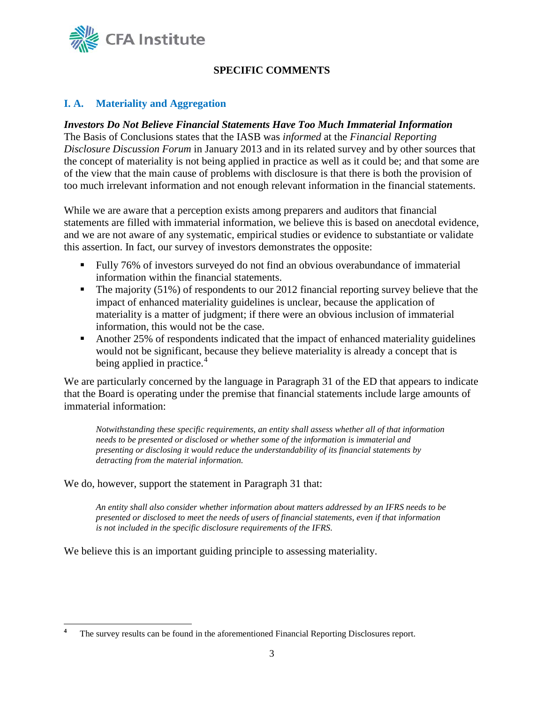

# **SPECIFIC COMMENTS**

### **I. A. Materiality and Aggregation**

### *Investors Do Not Believe Financial Statements Have Too Much Immaterial Information*

The Basis of Conclusions states that the IASB was *informed* at the *Financial Reporting Disclosure Discussion Forum* in January 2013 and in its related survey and by other sources that the concept of materiality is not being applied in practice as well as it could be; and that some are of the view that the main cause of problems with disclosure is that there is both the provision of too much irrelevant information and not enough relevant information in the financial statements.

While we are aware that a perception exists among preparers and auditors that financial statements are filled with immaterial information, we believe this is based on anecdotal evidence, and we are not aware of any systematic, empirical studies or evidence to substantiate or validate this assertion. In fact, our survey of investors demonstrates the opposite:

- Fully 76% of investors surveyed do not find an obvious overabundance of immaterial information within the financial statements.
- The majority (51%) of respondents to our 2012 financial reporting survey believe that the impact of enhanced materiality guidelines is unclear, because the application of materiality is a matter of judgment; if there were an obvious inclusion of immaterial information, this would not be the case.
- Another 25% of respondents indicated that the impact of enhanced materiality guidelines would not be significant, because they believe materiality is already a concept that is being applied in practice.<sup>[4](#page-2-0)</sup>

We are particularly concerned by the language in Paragraph 31 of the ED that appears to indicate that the Board is operating under the premise that financial statements include large amounts of immaterial information:

*Notwithstanding these specific requirements, an entity shall assess whether all of that information needs to be presented or disclosed or whether some of the information is immaterial and presenting or disclosing it would reduce the understandability of its financial statements by detracting from the material information.*

We do, however, support the statement in Paragraph 31 that:

*An entity shall also consider whether information about matters addressed by an IFRS needs to be presented or disclosed to meet the needs of users of financial statements, even if that information is not included in the specific disclosure requirements of the IFRS.*

We believe this is an important guiding principle to assessing materiality.

<span id="page-2-0"></span>**<sup>4</sup>** The survey results can be found in the aforementioned Financial Reporting Disclosures report.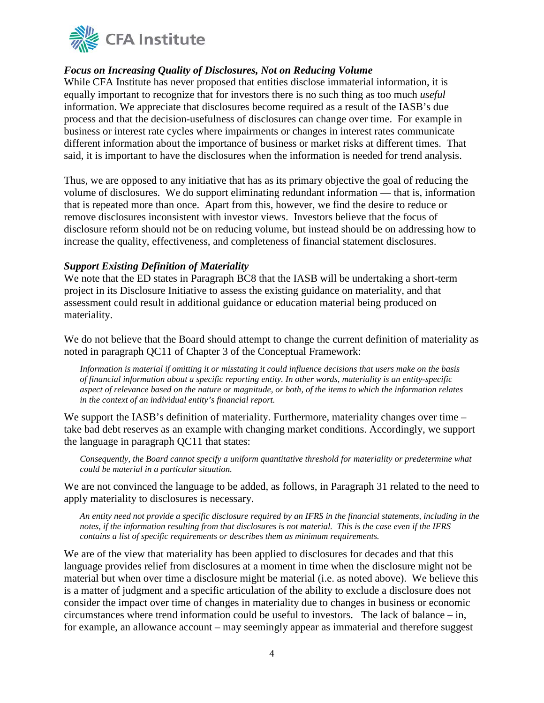

### *Focus on Increasing Quality of Disclosures, Not on Reducing Volume*

While CFA Institute has never proposed that entities disclose immaterial information, it is equally important to recognize that for investors there is no such thing as too much *useful*  information. We appreciate that disclosures become required as a result of the IASB's due process and that the decision-usefulness of disclosures can change over time. For example in business or interest rate cycles where impairments or changes in interest rates communicate different information about the importance of business or market risks at different times. That said, it is important to have the disclosures when the information is needed for trend analysis.

Thus, we are opposed to any initiative that has as its primary objective the goal of reducing the volume of disclosures. We do support eliminating redundant information — that is, information that is repeated more than once. Apart from this, however, we find the desire to reduce or remove disclosures inconsistent with investor views. Investors believe that the focus of disclosure reform should not be on reducing volume, but instead should be on addressing how to increase the quality, effectiveness, and completeness of financial statement disclosures.

### *Support Existing Definition of Materiality*

We note that the ED states in Paragraph BC8 that the IASB will be undertaking a short-term project in its Disclosure Initiative to assess the existing guidance on materiality, and that assessment could result in additional guidance or education material being produced on materiality.

We do not believe that the Board should attempt to change the current definition of materiality as noted in paragraph QC11 of Chapter 3 of the Conceptual Framework:

*Information is material if omitting it or misstating it could influence decisions that users make on the basis of financial information about a specific reporting entity. In other words, materiality is an entity-specific aspect of relevance based on the nature or magnitude, or both, of the items to which the information relates in the context of an individual entity's financial report.* 

We support the IASB's definition of materiality. Furthermore, materiality changes over time – take bad debt reserves as an example with changing market conditions. Accordingly, we support the language in paragraph QC11 that states:

*Consequently, the Board cannot specify a uniform quantitative threshold for materiality or predetermine what could be material in a particular situation.*

We are not convinced the language to be added, as follows, in Paragraph 31 related to the need to apply materiality to disclosures is necessary.

*An entity need not provide a specific disclosure required by an IFRS in the financial statements, including in the notes, if the information resulting from that disclosures is not material. This is the case even if the IFRS contains a list of specific requirements or describes them as minimum requirements.*

We are of the view that materiality has been applied to disclosures for decades and that this language provides relief from disclosures at a moment in time when the disclosure might not be material but when over time a disclosure might be material (i.e. as noted above). We believe this is a matter of judgment and a specific articulation of the ability to exclude a disclosure does not consider the impact over time of changes in materiality due to changes in business or economic circumstances where trend information could be useful to investors. The lack of balance – in, for example, an allowance account – may seemingly appear as immaterial and therefore suggest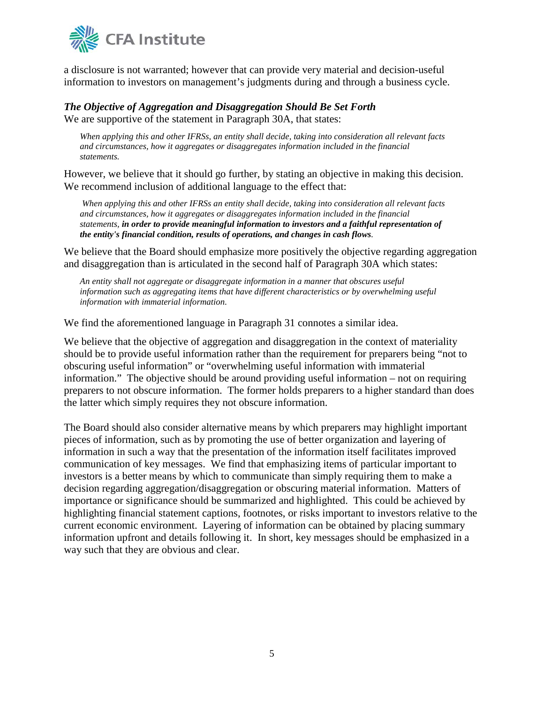

a disclosure is not warranted; however that can provide very material and decision-useful information to investors on management's judgments during and through a business cycle.

### *The Objective of Aggregation and Disaggregation Should Be Set Forth* We are supportive of the statement in Paragraph 30A, that states:

*When applying this and other IFRSs, an entity shall decide, taking into consideration all relevant facts and circumstances, how it aggregates or disaggregates information included in the financial statements.* 

However, we believe that it should go further, by stating an objective in making this decision. We recommend inclusion of additional language to the effect that:

*When applying this and other IFRSs an entity shall decide, taking into consideration all relevant facts and circumstances, how it aggregates or disaggregates information included in the financial statements, in order to provide meaningful information to investors and a faithful representation of the entity's financial condition, results of operations, and changes in cash flows.*

We believe that the Board should emphasize more positively the objective regarding aggregation and disaggregation than is articulated in the second half of Paragraph 30A which states:

*An entity shall not aggregate or disaggregate information in a manner that obscures useful information such as aggregating items that have different characteristics or by overwhelming useful information with immaterial information.*

We find the aforementioned language in Paragraph 31 connotes a similar idea.

We believe that the objective of aggregation and disaggregation in the context of materiality should be to provide useful information rather than the requirement for preparers being "not to obscuring useful information" or "overwhelming useful information with immaterial information." The objective should be around providing useful information – not on requiring preparers to not obscure information. The former holds preparers to a higher standard than does the latter which simply requires they not obscure information.

The Board should also consider alternative means by which preparers may highlight important pieces of information, such as by promoting the use of better organization and layering of information in such a way that the presentation of the information itself facilitates improved communication of key messages. We find that emphasizing items of particular important to investors is a better means by which to communicate than simply requiring them to make a decision regarding aggregation/disaggregation or obscuring material information. Matters of importance or significance should be summarized and highlighted. This could be achieved by highlighting financial statement captions, footnotes, or risks important to investors relative to the current economic environment. Layering of information can be obtained by placing summary information upfront and details following it. In short, key messages should be emphasized in a way such that they are obvious and clear.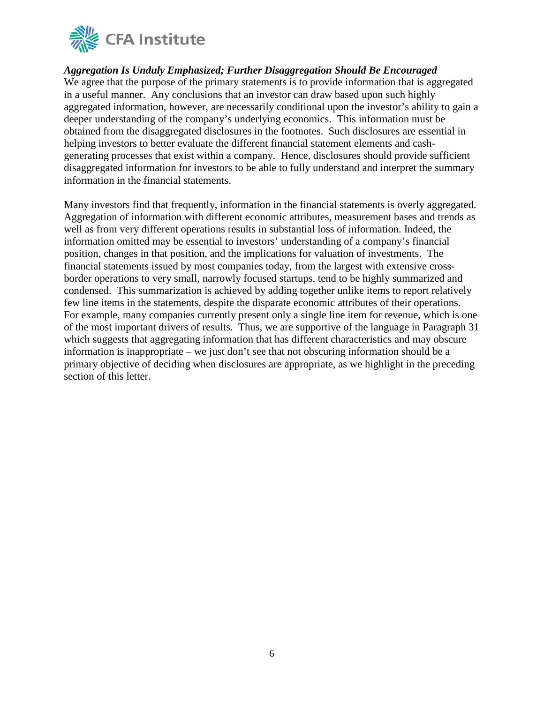

### *Aggregation Is Unduly Emphasized; Further Disaggregation Should Be Encouraged*

We agree that the purpose of the primary statements is to provide information that is aggregated in a useful manner. Any conclusions that an investor can draw based upon such highly aggregated information, however, are necessarily conditional upon the investor's ability to gain a deeper understanding of the company's underlying economics. This information must be obtained from the disaggregated disclosures in the footnotes. Such disclosures are essential in helping investors to better evaluate the different financial statement elements and cashgenerating processes that exist within a company. Hence, disclosures should provide sufficient disaggregated information for investors to be able to fully understand and interpret the summary information in the financial statements.

Many investors find that frequently, information in the financial statements is overly aggregated. Aggregation of information with different economic attributes, measurement bases and trends as well as from very different operations results in substantial loss of information. Indeed, the information omitted may be essential to investors' understanding of a company's financial position, changes in that position, and the implications for valuation of investments. The financial statements issued by most companies today, from the largest with extensive crossborder operations to very small, narrowly focused startups, tend to be highly summarized and condensed. This summarization is achieved by adding together unlike items to report relatively few line items in the statements, despite the disparate economic attributes of their operations. For example, many companies currently present only a single line item for revenue, which is one of the most important drivers of results. Thus, we are supportive of the language in Paragraph 31 which suggests that aggregating information that has different characteristics and may obscure information is inappropriate – we just don't see that not obscuring information should be a primary objective of deciding when disclosures are appropriate, as we highlight in the preceding section of this letter.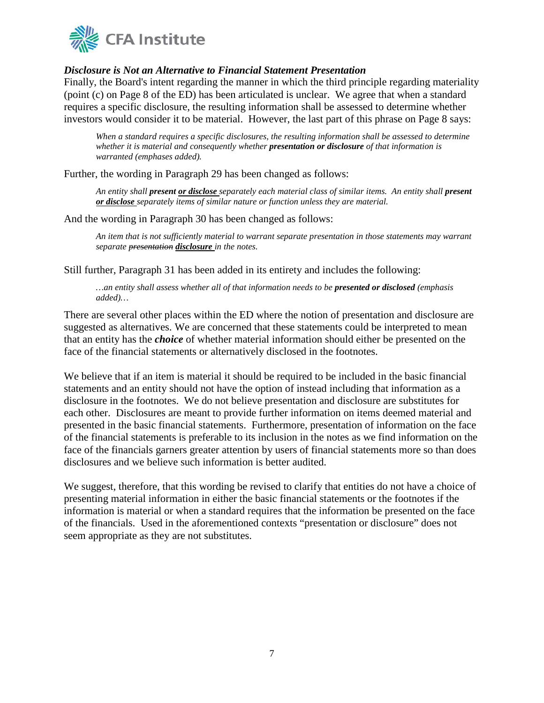

### *Disclosure is Not an Alternative to Financial Statement Presentation*

Finally, the Board's intent regarding the manner in which the third principle regarding materiality (point (c) on Page 8 of the ED) has been articulated is unclear. We agree that when a standard requires a specific disclosure, the resulting information shall be assessed to determine whether investors would consider it to be material. However, the last part of this phrase on Page 8 says:

*When a standard requires a specific disclosures, the resulting information shall be assessed to determine whether it is material and consequently whether presentation or disclosure of that information is warranted (emphases added).*

Further, the wording in Paragraph 29 has been changed as follows:

*An entity shall present or disclose separately each material class of similar items. An entity shall present or disclose separately items of similar nature or function unless they are material.* 

And the wording in Paragraph 30 has been changed as follows:

*An item that is not sufficiently material to warrant separate presentation in those statements may warrant separate presentation disclosure in the notes.*

Still further, Paragraph 31 has been added in its entirety and includes the following:

*…an entity shall assess whether all of that information needs to be presented or disclosed (emphasis added)…*

There are several other places within the ED where the notion of presentation and disclosure are suggested as alternatives. We are concerned that these statements could be interpreted to mean that an entity has the *choice* of whether material information should either be presented on the face of the financial statements or alternatively disclosed in the footnotes.

We believe that if an item is material it should be required to be included in the basic financial statements and an entity should not have the option of instead including that information as a disclosure in the footnotes. We do not believe presentation and disclosure are substitutes for each other. Disclosures are meant to provide further information on items deemed material and presented in the basic financial statements. Furthermore, presentation of information on the face of the financial statements is preferable to its inclusion in the notes as we find information on the face of the financials garners greater attention by users of financial statements more so than does disclosures and we believe such information is better audited.

We suggest, therefore, that this wording be revised to clarify that entities do not have a choice of presenting material information in either the basic financial statements or the footnotes if the information is material or when a standard requires that the information be presented on the face of the financials. Used in the aforementioned contexts "presentation or disclosure" does not seem appropriate as they are not substitutes.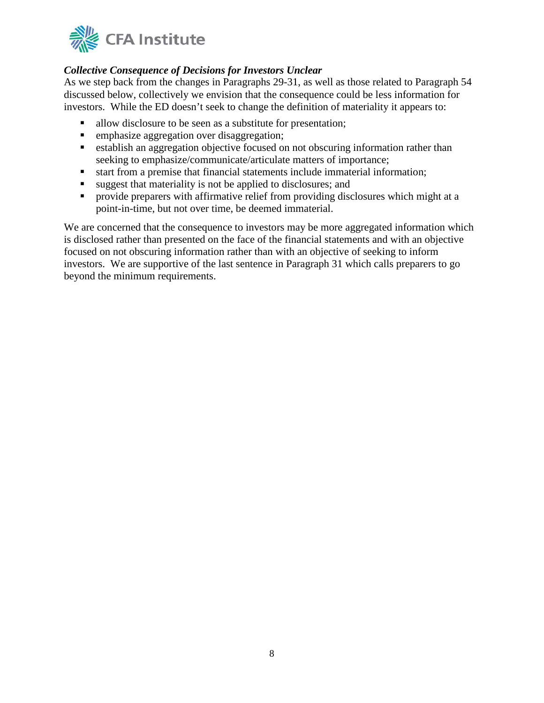

## *Collective Consequence of Decisions for Investors Unclear*

As we step back from the changes in Paragraphs 29-31, as well as those related to Paragraph 54 discussed below, collectively we envision that the consequence could be less information for investors. While the ED doesn't seek to change the definition of materiality it appears to:

- allow disclosure to be seen as a substitute for presentation;
- **EXECUTE:** emphasize aggregation over disaggregation;
- establish an aggregation objective focused on not obscuring information rather than seeking to emphasize/communicate/articulate matters of importance;
- start from a premise that financial statements include immaterial information;
- suggest that materiality is not be applied to disclosures; and
- **Perovide preparers with affirmative relief from providing disclosures which might at a** point-in-time, but not over time, be deemed immaterial.

We are concerned that the consequence to investors may be more aggregated information which is disclosed rather than presented on the face of the financial statements and with an objective focused on not obscuring information rather than with an objective of seeking to inform investors. We are supportive of the last sentence in Paragraph 31 which calls preparers to go beyond the minimum requirements.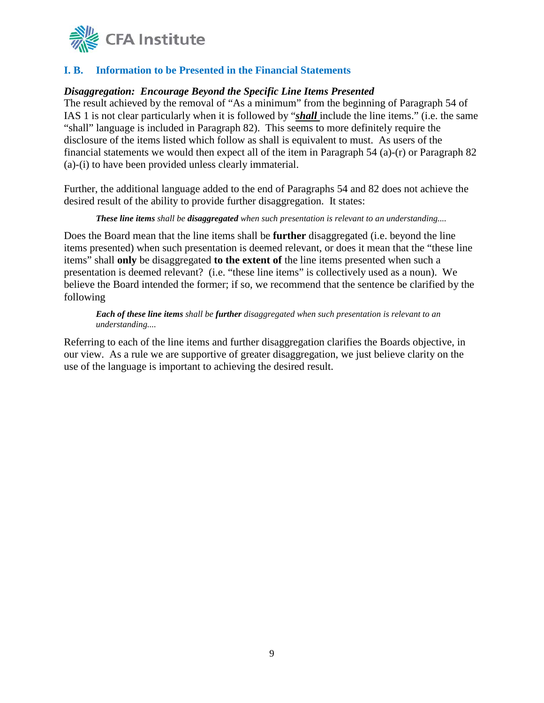

## **I. B. Information to be Presented in the Financial Statements**

### *Disaggregation: Encourage Beyond the Specific Line Items Presented*

The result achieved by the removal of "As a minimum" from the beginning of Paragraph 54 of IAS 1 is not clear particularly when it is followed by "*shall* include the line items." (i.e. the same "shall" language is included in Paragraph 82). This seems to more definitely require the disclosure of the items listed which follow as shall is equivalent to must. As users of the financial statements we would then expect all of the item in Paragraph 54 (a)-(r) or Paragraph 82 (a)-(i) to have been provided unless clearly immaterial.

Further, the additional language added to the end of Paragraphs 54 and 82 does not achieve the desired result of the ability to provide further disaggregation. It states:

*These line items shall be disaggregated when such presentation is relevant to an understanding....* 

Does the Board mean that the line items shall be **further** disaggregated (i.e. beyond the line items presented) when such presentation is deemed relevant, or does it mean that the "these line items" shall **only** be disaggregated **to the extent of** the line items presented when such a presentation is deemed relevant? (i.e. "these line items" is collectively used as a noun). We believe the Board intended the former; if so, we recommend that the sentence be clarified by the following

*Each of these line items shall be further disaggregated when such presentation is relevant to an understanding....* 

Referring to each of the line items and further disaggregation clarifies the Boards objective, in our view. As a rule we are supportive of greater disaggregation, we just believe clarity on the use of the language is important to achieving the desired result.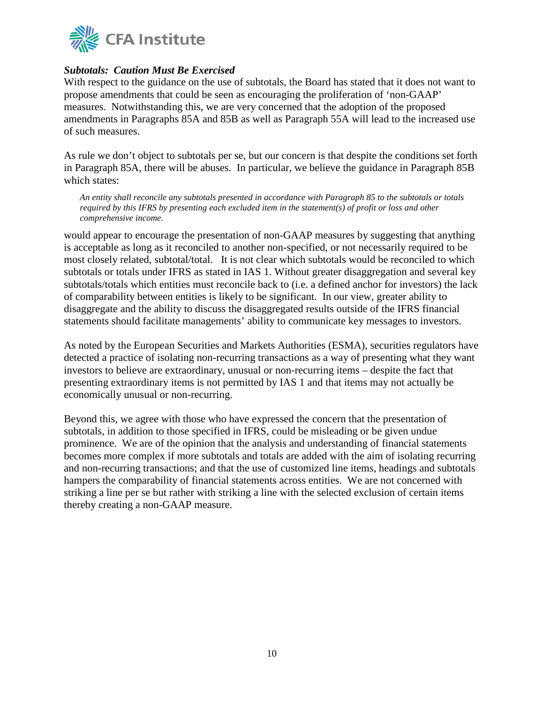

### *Subtotals: Caution Must Be Exercised*

With respect to the guidance on the use of subtotals, the Board has stated that it does not want to propose amendments that could be seen as encouraging the proliferation of 'non-GAAP' measures. Notwithstanding this, we are very concerned that the adoption of the proposed amendments in Paragraphs 85A and 85B as well as Paragraph 55A will lead to the increased use of such measures.

As rule we don't object to subtotals per se, but our concern is that despite the conditions set forth in Paragraph 85A, there will be abuses. In particular, we believe the guidance in Paragraph 85B which states:

*An entity shall reconcile any subtotals presented in accordance with Paragraph 85 to the subtotals or totals required by this IFRS by presenting each excluded item in the statement(s) of profit or loss and other comprehensive income.*

would appear to encourage the presentation of non-GAAP measures by suggesting that anything is acceptable as long as it reconciled to another non-specified, or not necessarily required to be most closely related, subtotal/total. It is not clear which subtotals would be reconciled to which subtotals or totals under IFRS as stated in IAS 1. Without greater disaggregation and several key subtotals/totals which entities must reconcile back to (i.e. a defined anchor for investors) the lack of comparability between entities is likely to be significant. In our view, greater ability to disaggregate and the ability to discuss the disaggregated results outside of the IFRS financial statements should facilitate managements' ability to communicate key messages to investors.

As noted by the European Securities and Markets Authorities (ESMA), securities regulators have detected a practice of isolating non-recurring transactions as a way of presenting what they want investors to believe are extraordinary, unusual or non-recurring items – despite the fact that presenting extraordinary items is not permitted by IAS 1 and that items may not actually be economically unusual or non-recurring.

Beyond this, we agree with those who have expressed the concern that the presentation of subtotals, in addition to those specified in IFRS, could be misleading or be given undue prominence. We are of the opinion that the analysis and understanding of financial statements becomes more complex if more subtotals and totals are added with the aim of isolating recurring and non-recurring transactions; and that the use of customized line items, headings and subtotals hampers the comparability of financial statements across entities. We are not concerned with striking a line per se but rather with striking a line with the selected exclusion of certain items thereby creating a non-GAAP measure.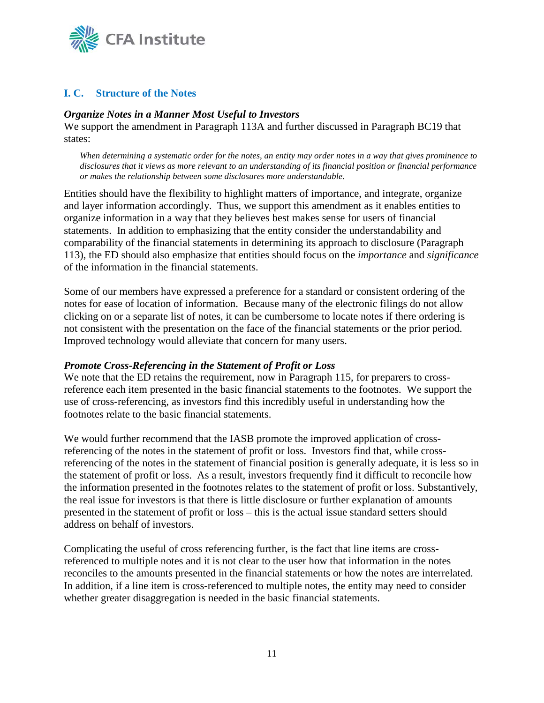

## **I. C. Structure of the Notes**

### *Organize Notes in a Manner Most Useful to Investors*

We support the amendment in Paragraph 113A and further discussed in Paragraph BC19 that states:

*When determining a systematic order for the notes, an entity may order notes in a way that gives prominence to disclosures that it views as more relevant to an understanding of its financial position or financial performance or makes the relationship between some disclosures more understandable.*

Entities should have the flexibility to highlight matters of importance, and integrate, organize and layer information accordingly. Thus, we support this amendment as it enables entities to organize information in a way that they believes best makes sense for users of financial statements. In addition to emphasizing that the entity consider the understandability and comparability of the financial statements in determining its approach to disclosure (Paragraph 113), the ED should also emphasize that entities should focus on the *importance* and *significance* of the information in the financial statements.

Some of our members have expressed a preference for a standard or consistent ordering of the notes for ease of location of information. Because many of the electronic filings do not allow clicking on or a separate list of notes, it can be cumbersome to locate notes if there ordering is not consistent with the presentation on the face of the financial statements or the prior period. Improved technology would alleviate that concern for many users.

### *Promote Cross-Referencing in the Statement of Profit or Loss*

We note that the ED retains the requirement, now in Paragraph 115, for preparers to crossreference each item presented in the basic financial statements to the footnotes. We support the use of cross-referencing, as investors find this incredibly useful in understanding how the footnotes relate to the basic financial statements.

We would further recommend that the IASB promote the improved application of crossreferencing of the notes in the statement of profit or loss. Investors find that, while crossreferencing of the notes in the statement of financial position is generally adequate, it is less so in the statement of profit or loss. As a result, investors frequently find it difficult to reconcile how the information presented in the footnotes relates to the statement of profit or loss. Substantively, the real issue for investors is that there is little disclosure or further explanation of amounts presented in the statement of profit or loss – this is the actual issue standard setters should address on behalf of investors.

Complicating the useful of cross referencing further, is the fact that line items are crossreferenced to multiple notes and it is not clear to the user how that information in the notes reconciles to the amounts presented in the financial statements or how the notes are interrelated. In addition, if a line item is cross-referenced to multiple notes, the entity may need to consider whether greater disaggregation is needed in the basic financial statements.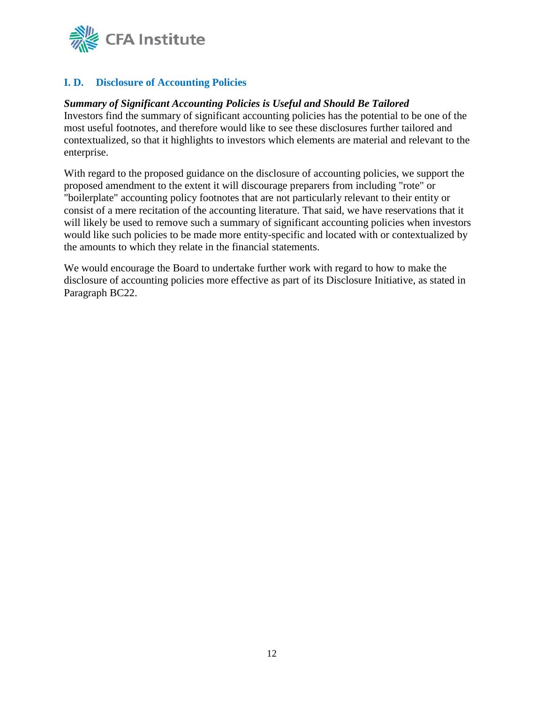

# **I. D. Disclosure of Accounting Policies**

### *Summary of Significant Accounting Policies is Useful and Should Be Tailored*

Investors find the summary of significant accounting policies has the potential to be one of the most useful footnotes, and therefore would like to see these disclosures further tailored and contextualized, so that it highlights to investors which elements are material and relevant to the enterprise.

With regard to the proposed guidance on the disclosure of accounting policies, we support the proposed amendment to the extent it will discourage preparers from including "rote" or "boilerplate" accounting policy footnotes that are not particularly relevant to their entity or consist of a mere recitation of the accounting literature. That said, we have reservations that it will likely be used to remove such a summary of significant accounting policies when investors would like such policies to be made more entity-specific and located with or contextualized by the amounts to which they relate in the financial statements.

We would encourage the Board to undertake further work with regard to how to make the disclosure of accounting policies more effective as part of its Disclosure Initiative, as stated in Paragraph BC22.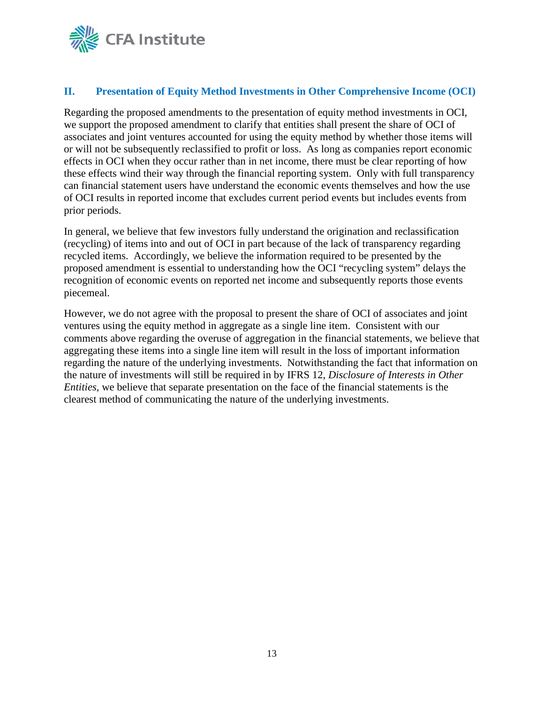

### **II. Presentation of Equity Method Investments in Other Comprehensive Income (OCI)**

Regarding the proposed amendments to the presentation of equity method investments in OCI, we support the proposed amendment to clarify that entities shall present the share of OCI of associates and joint ventures accounted for using the equity method by whether those items will or will not be subsequently reclassified to profit or loss. As long as companies report economic effects in OCI when they occur rather than in net income, there must be clear reporting of how these effects wind their way through the financial reporting system. Only with full transparency can financial statement users have understand the economic events themselves and how the use of OCI results in reported income that excludes current period events but includes events from prior periods.

In general, we believe that few investors fully understand the origination and reclassification (recycling) of items into and out of OCI in part because of the lack of transparency regarding recycled items. Accordingly, we believe the information required to be presented by the proposed amendment is essential to understanding how the OCI "recycling system" delays the recognition of economic events on reported net income and subsequently reports those events piecemeal.

However, we do not agree with the proposal to present the share of OCI of associates and joint ventures using the equity method in aggregate as a single line item. Consistent with our comments above regarding the overuse of aggregation in the financial statements, we believe that aggregating these items into a single line item will result in the loss of important information regarding the nature of the underlying investments. Notwithstanding the fact that information on the nature of investments will still be required in by IFRS 12, *Disclosure of Interests in Other Entities,* we believe that separate presentation on the face of the financial statements is the clearest method of communicating the nature of the underlying investments.